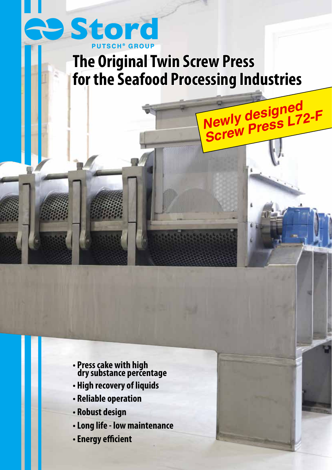

## **The Original Twin Screw Press for the Seafood Processing Industries**

**Newly designed** 

**Newly designers L72-F**<br>Screw Press L72-F

- **Press cake with high dry substance percentage**
- **High recovery of liquids**
- **Reliable operation**
- **Robust design**
- **Long life low maintenance**
- **Energy efficient**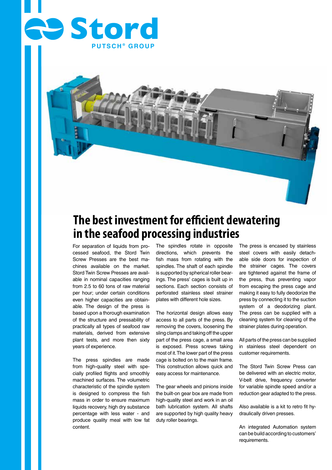



## **The best investment for efficient dewatering in the seafood processing industries**

For separation of liquids from processed seafood, the Stord Twin Screw Presses are the best machines available on the market. Stord Twin Screw Presses are available in nominal capacities ranging from 2.5 to 60 tons of raw material per hour; under certain conditions even higher capacities are obtainable. The design of the press is based upon a thorough examination of the structure and pressability of practically all types of seafood raw materials, derived from extensive plant tests, and more then sixty years of experience.

The press spindles are made from high-quality steel with specially profiled flights and smoothly machined surfaces. The volumetric characteristic of the spindle system is designed to compress the fish mass in order to ensure maximum liquids recovery, high dry substance percentage with less water - and produce quality meal with low fat content.

The spindles rotate in opposite directions, which prevents the fish mass from rotating with the spindles. The shaft of each spindle is supported by spherical roller bearings. The press' cages is built up in sections. Each section consists of perforated stainless steel strainer plates with different hole sizes.

The horizontal design allows easy access to all parts of the press. By removing the covers, loosening the sling clamps and taking off the upper part of the press cage, a small area is exposed. Press screws taking most of it. The lower part of the press cage is bolted on to the main frame. This construction allows quick and easy access for maintenance.

The gear wheels and pinions inside the built-on gear box are made from high-quality steel and work in an oil bath lubrication system. All shafts are supported by high quality heavy duty roller bearings.

The press is encased by stainless steel covers with easily detachable side doors for inspection of the strainer cages. The covers are tightened against the frame of the press, thus preventing vapor from escaping the press cage and making it easy to fully deodorize the press by connecting it to the suction system of a deodorizing plant. The press can be supplied with a cleaning system for cleaning of the strainer plates during operation.

All parts of the press can be supplied in stainless steel dependent on customer requirements.

The Stord Twin Screw Press can be delivered with an electric motor, V-belt drive, frequency converter for variable spindle speed and/or a reduction gear adapted to the press.

Also available is a kit to retro fit hydraulically driven presses.

An integrated Automation system can be build according to customers' requirements.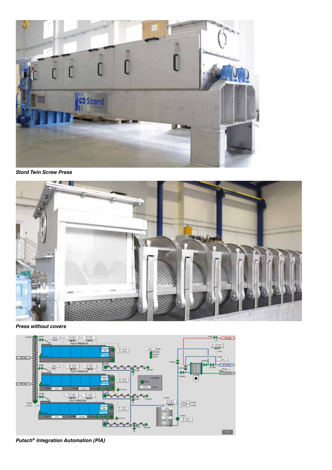

*Stord Twin Screw Press*



*Press without covers*



*Putsch® Integration Automation (PIA)*